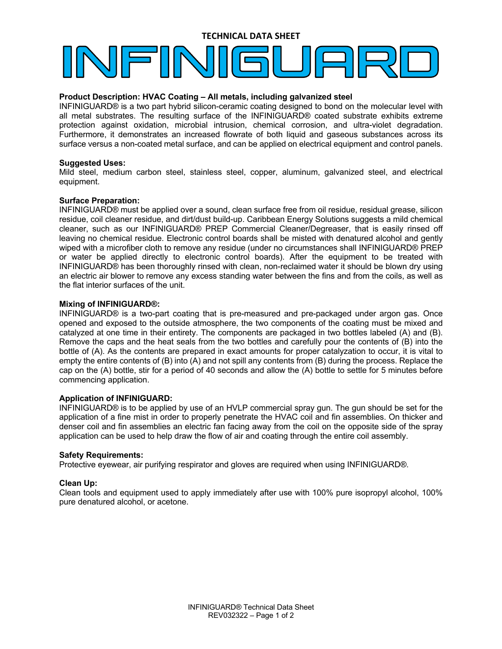## **TECHNICAL DATA SHEET**

#### **Product Description: HVAC Coating – All metals, including galvanized steel**

INFINIGUARD® is a two part hybrid silicon-ceramic coating designed to bond on the molecular level with all metal substrates. The resulting surface of the INFINIGUARD® coated substrate exhibits extreme protection against oxidation, microbial intrusion, chemical corrosion, and ultra-violet degradation. Furthermore, it demonstrates an increased flowrate of both liquid and gaseous substances across its surface versus a non-coated metal surface, and can be applied on electrical equipment and control panels.

#### **Suggested Uses:**

Mild steel, medium carbon steel, stainless steel, copper, aluminum, galvanized steel, and electrical equipment.

#### **Surface Preparation:**

INFINIGUARD® must be applied over a sound, clean surface free from oil residue, residual grease, silicon residue, coil cleaner residue, and dirt/dust build-up. Caribbean Energy Solutions suggests a mild chemical cleaner, such as our INFINIGUARD® PREP Commercial Cleaner/Degreaser, that is easily rinsed off leaving no chemical residue. Electronic control boards shall be misted with denatured alcohol and gently wiped with a microfiber cloth to remove any residue (under no circumstances shall INFINIGUARD® PREP or water be applied directly to electronic control boards). After the equipment to be treated with INFINIGUARD® has been thoroughly rinsed with clean, non-reclaimed water it should be blown dry using an electric air blower to remove any excess standing water between the fins and from the coils, as well as the flat interior surfaces of the unit.

### **Mixing of INFINIGUARD®:**

INFINIGUARD® is a two-part coating that is pre-measured and pre-packaged under argon gas. Once opened and exposed to the outside atmosphere, the two components of the coating must be mixed and catalyzed at one time in their entirety. The components are packaged in two bottles labeled (A) and (B). Remove the caps and the heat seals from the two bottles and carefully pour the contents of (B) into the bottle of (A). As the contents are prepared in exact amounts for proper catalyzation to occur, it is vital to empty the entire contents of (B) into (A) and not spill any contents from (B) during the process. Replace the cap on the (A) bottle, stir for a period of 40 seconds and allow the (A) bottle to settle for 5 minutes before commencing application.

#### **Application of INFINIGUARD:**

INFINIGUARD® is to be applied by use of an HVLP commercial spray gun. The gun should be set for the application of a fine mist in order to properly penetrate the HVAC coil and fin assemblies. On thicker and denser coil and fin assemblies an electric fan facing away from the coil on the opposite side of the spray application can be used to help draw the flow of air and coating through the entire coil assembly.

#### **Safety Requirements:**

Protective eyewear, air purifying respirator and gloves are required when using INFINIGUARD®.

#### **Clean Up:**

Clean tools and equipment used to apply immediately after use with 100% pure isopropyl alcohol, 100% pure denatured alcohol, or acetone.